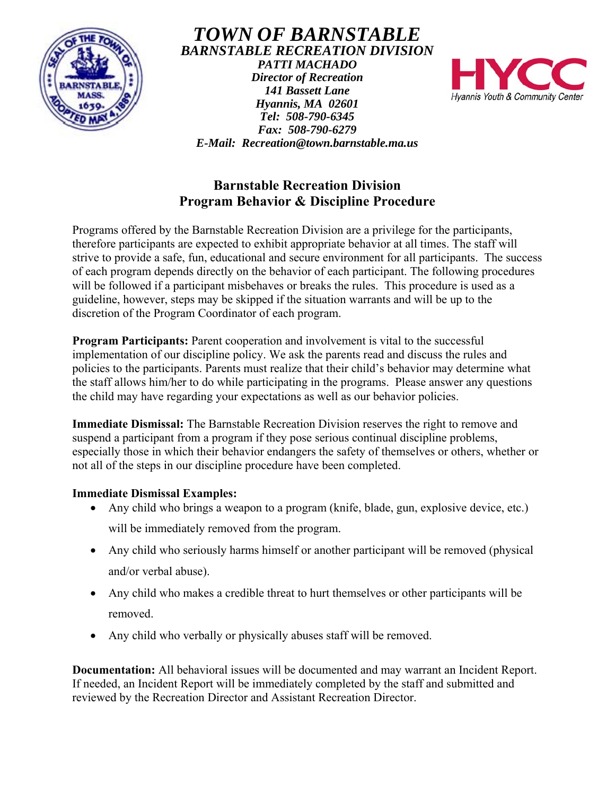

*TOWN OF BARNSTABLE BARNSTABLE RECREATION DIVISION PATTI MACHADO Director of Recreation 141 Bassett Lane Hyannis, MA 02601 Tel: 508-790-6345 Fax: 508-790-6279* 



# **Barnstable Recreation Division Program Behavior & Discipline Procedure**

*E-Mail: Recreation@town.barnstable.ma.us* 

Programs offered by the Barnstable Recreation Division are a privilege for the participants, therefore participants are expected to exhibit appropriate behavior at all times. The staff will strive to provide a safe, fun, educational and secure environment for all participants. The success of each program depends directly on the behavior of each participant. The following procedures will be followed if a participant misbehaves or breaks the rules. This procedure is used as a guideline, however, steps may be skipped if the situation warrants and will be up to the discretion of the Program Coordinator of each program.

**Program Participants:** Parent cooperation and involvement is vital to the successful implementation of our discipline policy. We ask the parents read and discuss the rules and policies to the participants. Parents must realize that their child's behavior may determine what the staff allows him/her to do while participating in the programs. Please answer any questions the child may have regarding your expectations as well as our behavior policies.

**Immediate Dismissal:** The Barnstable Recreation Division reserves the right to remove and suspend a participant from a program if they pose serious continual discipline problems, especially those in which their behavior endangers the safety of themselves or others, whether or not all of the steps in our discipline procedure have been completed.

## **Immediate Dismissal Examples:**

- Any child who brings a weapon to a program (knife, blade, gun, explosive device, etc.)
	- will be immediately removed from the program.
- Any child who seriously harms himself or another participant will be removed (physical and/or verbal abuse).
- Any child who makes a credible threat to hurt themselves or other participants will be removed.
- Any child who verbally or physically abuses staff will be removed.

**Documentation:** All behavioral issues will be documented and may warrant an Incident Report. If needed, an Incident Report will be immediately completed by the staff and submitted and reviewed by the Recreation Director and Assistant Recreation Director.